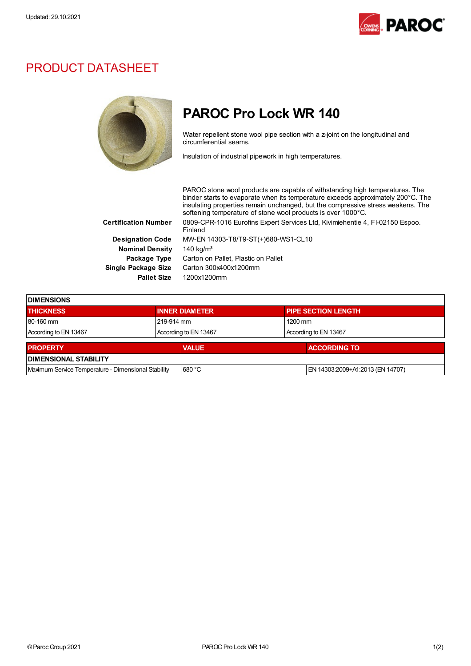

## PRODUCT DATASHEET



## PAROC Pro Lock WR 140

Water repellent stone wool pipe section with a z-joint on the longitudinal and circumferential seams.

Insulation of industrial pipework in high temperatures.

PAROC stone wool products are capable of withstanding high temperatures. The binder starts to evaporate when its temperature exceeds approximately 200°C. The insulating properties remain unchanged, but the compressive stress weakens. The softening temperature of stone wool products is over 1000°C. Certification Number 0809-CPR-1016 Eurofins Expert Services Ltd, Kivimiehentie 4, FI-02150 Espoo. Finland Designation Code MW-EN 14303-T8/T9-ST(+)680-WS1-CL10 Nominal Density 140 kg/m<sup>3</sup> Package Type Carton on Pallet, Plastic on Pallet Single Package Size Carton 300x400x1200mm Pallet Size 1200x1200mm

| <b>IDIMENSIONS</b>                                  |  |                       |                       |                                  |  |
|-----------------------------------------------------|--|-----------------------|-----------------------|----------------------------------|--|
| <b>THICKNESS</b>                                    |  | <b>INNER DIAMETER</b> |                       | <b>PIPE SECTION LENGTH</b>       |  |
| 80-160 mm                                           |  | 219-914 mm            |                       | $1200$ mm                        |  |
| According to EN 13467                               |  | According to EN 13467 | According to EN 13467 |                                  |  |
| <b>PROPERTY</b>                                     |  | <b>VALUE</b>          |                       | <b>ACCORDING TO</b>              |  |
| <b>DIMENSIONAL STABILITY</b>                        |  |                       |                       |                                  |  |
| Maximum Service Temperature - Dimensional Stability |  | 680 °C                |                       | EN 14303:2009+A1:2013 (EN 14707) |  |